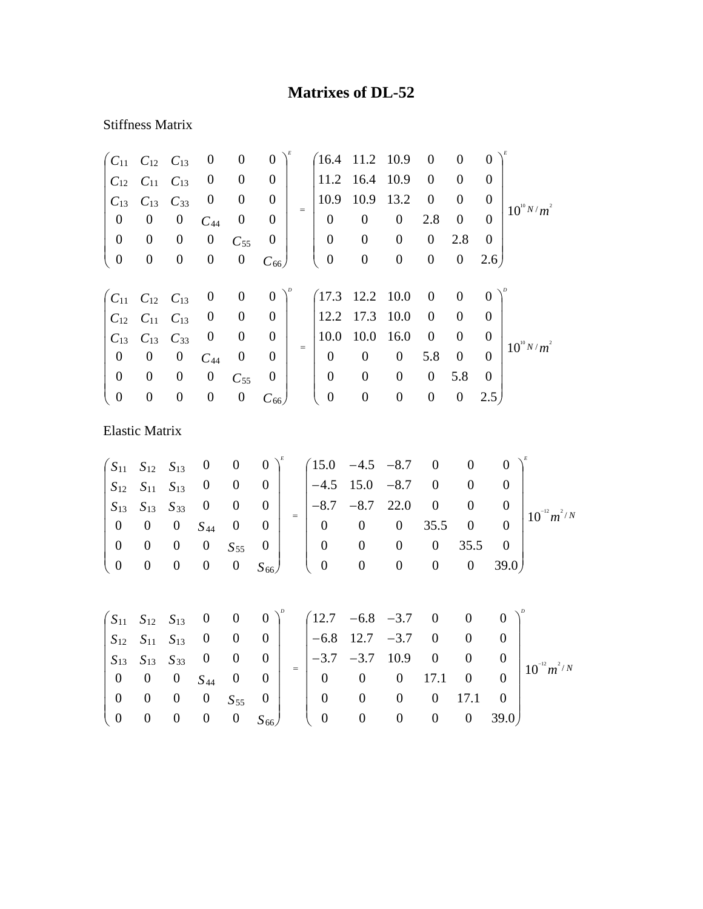## **Matrixes of DL-52**

## Stiffness Matrix

| $C_{11}$              | $C_{12}$         | $C_{13}$         | $\boldsymbol{0}$ | $\boldsymbol{0}$ | $\boldsymbol{0}$ |                   | 16.4             | 11.2             | 10.9             | $\boldsymbol{0}$ | $\boldsymbol{0}$ | 0                |                  |
|-----------------------|------------------|------------------|------------------|------------------|------------------|-------------------|------------------|------------------|------------------|------------------|------------------|------------------|------------------|
| $C_{12}$              | $C_{11}$         | $C_{13}$         | $\boldsymbol{0}$ | $\boldsymbol{0}$ | $\boldsymbol{0}$ |                   | 11.2             | 16.4             | 10.9             | $\boldsymbol{0}$ | $\boldsymbol{0}$ | $\boldsymbol{0}$ |                  |
| $C_{13}$              | $C_{13}$         | $C_{33}$         | $\boldsymbol{0}$ | $\boldsymbol{0}$ | $\boldsymbol{0}$ |                   | 10.9             | 10.9             | 13.2             | $\boldsymbol{0}$ | $\boldsymbol{0}$ | $\boldsymbol{0}$ | $10^{10} N/m^2$  |
| $\boldsymbol{0}$      | $\boldsymbol{0}$ | $\boldsymbol{0}$ | $C_{44}$         | $\boldsymbol{0}$ | $\boldsymbol{0}$ | $=$               | $\overline{0}$   | $\boldsymbol{0}$ | $\boldsymbol{0}$ | 2.8              | $\boldsymbol{0}$ | $\theta$         |                  |
| $\boldsymbol{0}$      | $\boldsymbol{0}$ | $\boldsymbol{0}$ | $\boldsymbol{0}$ | $C_{55}$         | $\boldsymbol{0}$ |                   | $\boldsymbol{0}$ | $\boldsymbol{0}$ | $\boldsymbol{0}$ | $\boldsymbol{0}$ | 2.8              | $\overline{0}$   |                  |
| $\boldsymbol{0}$      | $\boldsymbol{0}$ | $\boldsymbol{0}$ | $\boldsymbol{0}$ | $\boldsymbol{0}$ | $C_{66}$         |                   | $\boldsymbol{0}$ | $\boldsymbol{0}$ | $\boldsymbol{0}$ | $\boldsymbol{0}$ | $\boldsymbol{0}$ | 2.6)             |                  |
|                       |                  |                  |                  |                  |                  |                   |                  |                  |                  |                  |                  |                  |                  |
| $C_{11}$              | $C_{12}$         | $C_{13}$         | $\boldsymbol{0}$ | $\boldsymbol{0}$ | $\boldsymbol{0}$ |                   | (17.3)           | 12.2             | 10.0             | $\boldsymbol{0}$ | $\boldsymbol{0}$ | $\boldsymbol{0}$ |                  |
| $C_{12}$              | $C_{11}$         | $C_{13}$         | $\boldsymbol{0}$ | $\boldsymbol{0}$ | $\boldsymbol{0}$ |                   | 12.2             | 17.3             | 10.0             | $\boldsymbol{0}$ | $\boldsymbol{0}$ | $\theta$         |                  |
| $C_{13}$              | $C_{13}$         | $C_{33}$         | $\boldsymbol{0}$ | $\boldsymbol{0}$ | $\boldsymbol{0}$ |                   | 10.0             | 10.0             | 16.0             | $\boldsymbol{0}$ | $\boldsymbol{0}$ | $\boldsymbol{0}$ |                  |
| $\boldsymbol{0}$      | $\boldsymbol{0}$ | $\boldsymbol{0}$ | $C_{44}$         | $\boldsymbol{0}$ | $\boldsymbol{0}$ | $\qquad \qquad =$ | $\overline{0}$   | $\overline{0}$   | $\boldsymbol{0}$ | 5.8              | $\boldsymbol{0}$ | $\theta$         | $10^{10} N/m^2$  |
| $\boldsymbol{0}$      | $\boldsymbol{0}$ | $\boldsymbol{0}$ | $\boldsymbol{0}$ | $C_{55}$         | $\overline{0}$   |                   | $\boldsymbol{0}$ | $\boldsymbol{0}$ | $\boldsymbol{0}$ | $\boldsymbol{0}$ | 5.8              | $\mathbf{0}$     |                  |
| $\boldsymbol{0}$      | $\boldsymbol{0}$ | $\boldsymbol{0}$ | $\boldsymbol{0}$ | $\boldsymbol{0}$ | $C_{66}$         |                   | $\boldsymbol{0}$ | $\boldsymbol{0}$ | $\boldsymbol{0}$ | $\boldsymbol{0}$ | $\boldsymbol{0}$ | 2.5 <sub>1</sub> |                  |
|                       |                  |                  |                  |                  |                  |                   |                  |                  |                  |                  |                  |                  |                  |
| <b>Elastic Matrix</b> |                  |                  |                  |                  |                  |                   |                  |                  |                  |                  |                  |                  |                  |
|                       |                  |                  |                  |                  |                  |                   |                  |                  |                  |                  |                  |                  |                  |
| $S_{11}$              | $S_{12}$         | $S_{13}$         | $\boldsymbol{0}$ | $\boldsymbol{0}$ | $\boldsymbol{0}$ |                   | 15.0             | $-4.5$           | $-8.7$           | $\overline{0}$   | $\boldsymbol{0}$ |                  | $\Omega$         |
| $S_{12}$              | $S_{11}$         | $S_{13}$         | $\boldsymbol{0}$ | $\boldsymbol{0}$ | $\boldsymbol{0}$ |                   | $-4.5$           | 15.0             | $-8.7$           | $\boldsymbol{0}$ | $\boldsymbol{0}$ |                  | $\boldsymbol{0}$ |

|  |  |                                                                                          |  |  |  |  | $\begin{vmatrix} S_{13} & S_{13} & S_{33} & 0 & 0 & 0 \ 0 & 0 & 0 & S_{44} & 0 & 0 \end{vmatrix} = \begin{vmatrix} -8.7 & -8.7 & 22.0 & 0 & 0 & 0 \ 0 & 0 & 0 & 35.5 & 0 & 0 \end{vmatrix} 10^{-12} m^{2/N}$ |
|--|--|------------------------------------------------------------------------------------------|--|--|--|--|--------------------------------------------------------------------------------------------------------------------------------------------------------------------------------------------------------------|
|  |  |                                                                                          |  |  |  |  |                                                                                                                                                                                                              |
|  |  | $\begin{bmatrix} 0 & 0 & 0 & 0 & S_{55} & 0 \\ 0 & 0 & 0 & 0 & 0 & S_{66} \end{bmatrix}$ |  |  |  |  |                                                                                                                                                                                                              |
|  |  |                                                                                          |  |  |  |  |                                                                                                                                                                                                              |

|                                               |  |                                                            |  |                                                     |          | $\begin{pmatrix} S_{11} & S_{12} & S_{13} & 0 & 0 & 0 \end{pmatrix}^{\nu}$ $\begin{pmatrix} 12.7 & -6.8 & -3.7 & 0 & 0 & 0 \end{pmatrix}^{\nu}$                                                   |                |              |                |                  |
|-----------------------------------------------|--|------------------------------------------------------------|--|-----------------------------------------------------|----------|---------------------------------------------------------------------------------------------------------------------------------------------------------------------------------------------------|----------------|--------------|----------------|------------------|
|                                               |  |                                                            |  | $ S_{12} S_{11} S_{13} 0 0 0  $ $ -6.8$ 12.7 $-3.7$ |          |                                                                                                                                                                                                   | $0\qquad 0$    |              |                |                  |
|                                               |  |                                                            |  |                                                     |          | $\begin{array}{ c c c c c c c c } \hline S_{13} & S_{13} & S_{33} & 0 & 0 & 0 & - \\ \hline \end{array}$ $\begin{array}{ c c c c c c c } \hline - & -3.7 & -3.7 & 10.9 & 0 \\ \hline \end{array}$ |                | $\mathbf{0}$ |                | $10^{-12} m^2/N$ |
|                                               |  | $\begin{pmatrix} 0 & 0 & 0 & S_{44} & 0 & 0 \end{pmatrix}$ |  |                                                     |          | $\begin{bmatrix} 0 & 0 & 0 & 17.1 & 0 \end{bmatrix}$                                                                                                                                              |                |              | $\mathbf{0}$   |                  |
|                                               |  | 0 0 0 0 $S_{55}$ 0                                         |  |                                                     | $\theta$ | $\begin{matrix} 0 \end{matrix}$                                                                                                                                                                   | 0              | 17.1         |                |                  |
| $\begin{pmatrix} 0 & 0 & 0 & 0 \end{pmatrix}$ |  |                                                            |  |                                                     |          | $0 S_{66}$ ( 0 0                                                                                                                                                                                  | $\overline{0}$ |              | $0 \quad 39.0$ |                  |